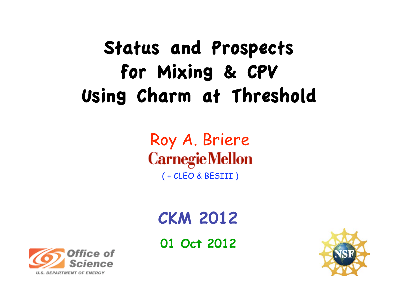# Status and Prospects for Mixing & CPV Using Charm at Threshold

### Roy A. Briere **Carnegie Mellon** ( + CLEO & BESIII )

# **CKM 2012**

**01 Oct 2012**



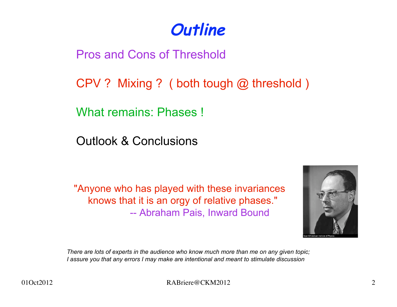

Pros and Cons of Threshold

CPV ? Mixing ? ( both tough @ threshold )

What remains: Phases !

Outlook & Conclusions

"Anyone who has played with these invariances knows that it is an orgy of relative phases." -- Abraham Pais, Inward Bound



*There are lots of experts in the audience who know much more than me on any given topic; I assure you that any errors I may make are intentional and meant to stimulate discussion*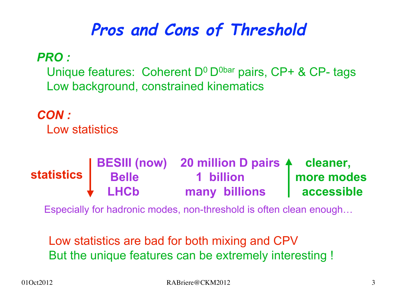## **Pros and Cons of Threshold**

*PRO :*

Unique features: Coherent  $D^0$   $D^{0bar}$  pairs, CP+ & CP- tags Low background, constrained kinematics

*CON :*

Low statistics

|            |                   | <b>BESIII (now) 20 million D pairs 4 cleaner,</b> |            |
|------------|-------------------|---------------------------------------------------|------------|
| statistics | <b>Belle</b>      | 1 billion                                         | more modes |
|            | $\downarrow$ LHCb | many billions                                     | accessible |

Especially for hadronic modes, non-threshold is often clean enough…

Low statistics are bad for both mixing and CPV But the unique features can be extremely interesting !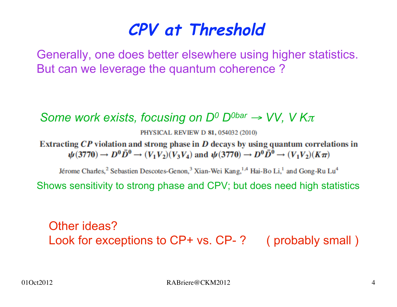### **CPV at Threshold**

Generally, one does better elsewhere using higher statistics. But can we leverage the quantum coherence ?

#### *Some work exists, focusing on D<sup>0</sup> D<sup>0bar</sup> → VV, V Kπ*

PHYSICAL REVIEW D 81, 054032 (2010)

Extracting  $\mathbb{CP}$  violation and strong phase in  $\mathbb D$  decays by using quantum correlations in  $\psi(3770) \rightarrow D^0 \overline{D}^0 \rightarrow (V_1 V_2)(V_3 V_4)$  and  $\psi(3770) \rightarrow D^0 \overline{D}^0 \rightarrow (V_1 V_2)(K \pi)$ 

Jérome Charles,<sup>2</sup> Sebastien Descotes-Genon,<sup>3</sup> Xian-Wei Kang,<sup>1,4</sup> Hai-Bo Li,<sup>1</sup> and Gong-Ru Lu<sup>4</sup>

Shows sensitivity to strong phase and CPV; but does need high statistics

Other ideas? Look for exceptions to CP+ vs. CP-? (probably small)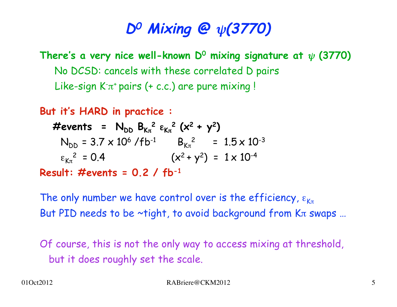### **D0 Mixing @** ψ**(3770)**

**There's a very nice well-known D0 mixing signature at** ψ **(3770)** No DCSD: cancels with these correlated D pairs Like-sign K $\pi^*$ pairs (+ c.c.) are pure mixing !

**But it's HARD in practice :**

 $\#$  events =  $N_{DD} B_{K_{\pi}}^2 \epsilon_{K_{\pi}}^2 (x^2 + y^2)$  $N_{DD}$  = 3.7 x 10<sup>6</sup> /fb<sup>-1</sup> B<sub>K $\pi$ </sub><sup>2</sup> = 1.5 x 10<sup>-3</sup>  $\epsilon_{K\pi}^2 = 0.4$   $(x^2 + y^2) = 1 \times 10^{-4}$ **Result: #events = 0.2 / fb-1**

The only number we have control over is the efficiency,  $\varepsilon_{K\pi}$ But PID needs to be  $\sim$ tight, to avoid background from K $\pi$  swaps ...

Of course, this is not the only way to access mixing at threshold, but it does roughly set the scale.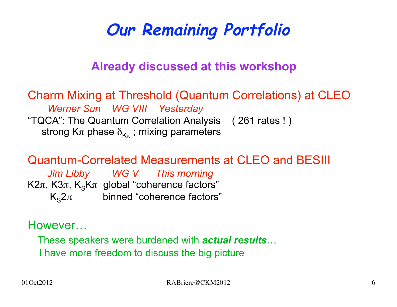# **Our Remaining Portfolio**

#### **Already discussed at this workshop**

Charm Mixing at Threshold (Quantum Correlations) at CLEO  *Werner Sun WG VIII Yesterday* "TQCA": The Quantum Correlation Analysis ( 261 rates ! ) strong K $\pi$  phase  $\delta_{K_{\pi}}$ ; mixing parameters

Quantum-Correlated Measurements at CLEO and BESIII  *Jim Libby WG V This morning* K2 $\pi$ , K3 $\pi$ , K<sub>s</sub>K $\pi$  global "coherence factors"  $K_{\rm s}2\pi$  binned "coherence factors"

However…

These speakers were burdened with *actual results*…

I have more freedom to discuss the big picture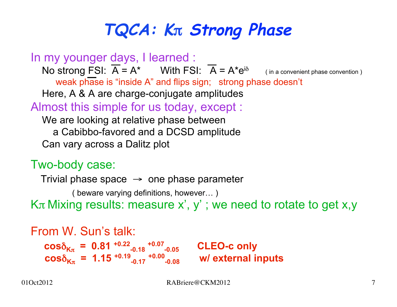# **TQCA: K**π **Strong Phase**

In my younger days, I learned : No strong FSI:  $\overline{A} = A^*$  With FSI:  $\overline{A} = A^* e^{i\delta}$  (in a convenient phase convention) weak phase is "inside A" and flips sign; strong phase doesn't Here, A & A are charge-conjugate amplitudes Almost this simple for us today, except : We are looking at relative phase between a Cabibbo-favored and a DCSD amplitude Can vary across a Dalitz plot

#### Two-body case:

```
Trivial phase space \rightarrow one phase parameter
          ( beware varying definitions, however… )
K\pi Mixing results: measure x', y'; we need to rotate to get x,y
```

```
From W. Sun's talk:
cos\delta_{K_{\pi}} = 0.81 <sup>+0.22</sup><sub>-0.18</sub>
                                          +0.07
                                                            CLEO-c only
{{\bf cos}\delta_{{\bf K}\pi}} = {{\bf 1.15}}^{{\bf + 0.19}}-0.17
                                           +0.00
                                                             w/ external inputs
```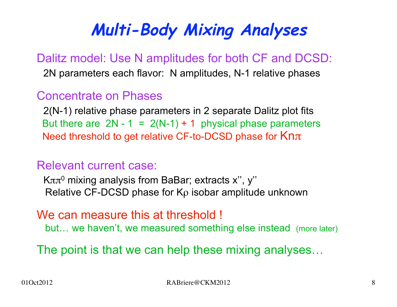# **Multi-Body Mixing Analyses**

Dalitz model: Use N amplitudes for both CF and DCSD: 2N parameters each flavor: N amplitudes, N-1 relative phases

#### Concentrate on Phases

 2(N-1) relative phase parameters in 2 separate Dalitz plot fits But there are  $2N - 1 = 2(N-1) + 1$  physical phase parameters Need threshold to get relative CF-to-DCSD phase for Knπ

#### Relevant current case:

Kππ<sup>0</sup> mixing analysis from BaBar; extracts x", y" Relative CF-DCSD phase for Kρ isobar amplitude unknown

#### We can measure this at threshold !

but… we haven't, we measured something else instead (more later)

The point is that we can help these mixing analyses…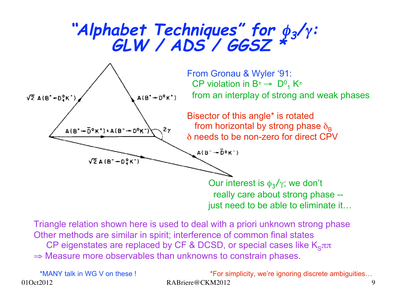# **"Alphabet Techniques" for** φ**3/**γ**: GLW / ADS / GGSZ \***



Triangle relation shown here is used to deal with a priori unknown strong phase Other methods are similar in spirit; interference of common final states CP eigenstates are replaced by CF & DCSD, or special cases like  $K_{S}\pi\pi$  $\Rightarrow$  Measure more observables than unknowns to constrain phases.

\*MANY talk in WG V on these !

01Oct2012 RABriere@CKM2012 9 \*For simplicity, we're ignoring discrete ambiguities…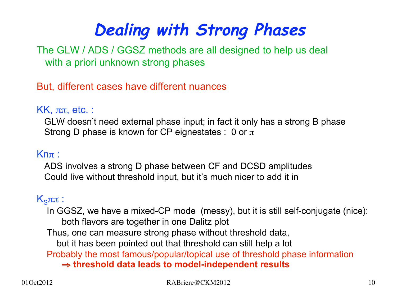# **Dealing with Strong Phases**

The GLW / ADS / GGSZ methods are all designed to help us deal with a priori unknown strong phases

But, different cases have different nuances

#### $KK$ ,  $\pi\pi$ , etc. :

 GLW doesn't need external phase input; in fact it only has a strong B phase Strong D phase is known for CP eignestates : 0 or  $\pi$ 

#### Knπ :

 ADS involves a strong D phase between CF and DCSD amplitudes Could live without threshold input, but it's much nicer to add it in

#### $K<sub>S</sub>ππ$ :

 In GGSZ, we have a mixed-CP mode (messy), but it is still self-conjugate (nice): both flavors are together in one Dalitz plot Thus, one can measure strong phase without threshold data, but it has been pointed out that threshold can still help a lot Probably the most famous/popular/topical use of threshold phase information ⇒ **threshold data leads to model-independent results**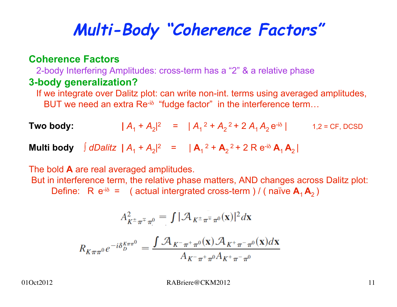# **Multi-Body "Coherence Factors"**

#### **Coherence Factors**

2-body Interfering Amplitudes: cross-term has a "2" & a relative phase

#### **3-body generalization?**

 If we integrate over Dalitz plot: can write non-int. terms using averaged amplitudes, BUT we need an extra Re<sup>-iδ</sup> "fudge factor" in the interference term...

**Two body:** 
$$
|A_1 + A_2|^2 = |A_1|^2 + A_2^2 + 2A_1A_2e^{-i\delta}|
$$
 1.2 = CF, DCSD

**Multi body** Ⅰ *dDalitz* **|**  $A_1 + A_2$ |<sup>2</sup> = **|**  $A_1^2 + A_2^2 + 2 R e^{-i\delta} A_1 A_2$  |

The bold **A** are real averaged amplitudes.

 But in interference term, the relative phase matters, AND changes across Dalitz plot: Define: R  $e^{-i\delta}$  = (actual intergrated cross-term ) / (naïve  $A_1 A_2$ )

$$
A_{K^{\pm}\pi^{\mp}\pi^{0}}^{2} = \int |\mathcal{A}_{K^{\pm}\pi^{\mp}\pi^{0}}(\mathbf{x})|^{2} d\mathbf{x}
$$

$$
R_{K\pi\pi^{0}}e^{-i\delta_{D}^{K\pi\pi^{0}}} = \frac{\int \mathcal{A}_{K^{\pm}\pi^{\pm}\pi^{0}}(\mathbf{x})\mathcal{A}_{K^{\pm}\pi^{\pm}\pi^{0}}(\mathbf{x})d\mathbf{x}}{A_{K^{\pm}\pi^{\pm}\pi^{0}}A_{K^{\pm}\pi^{\pm}\pi^{0}}}
$$

01Oct2012 RABriere@CKM2012 11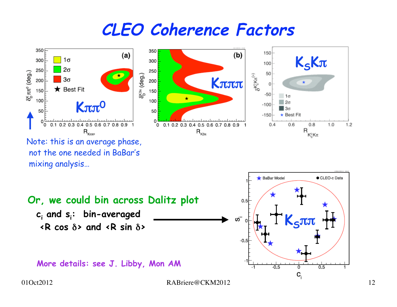### **CLEO Coherence Factors**

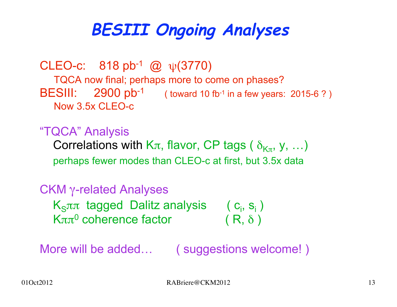# **BESIII Ongoing Analyses**

CLEO-c:  $818 \text{ pb}^{-1}$  @  $\psi(3770)$  TQCA now final; perhaps more to come on phases? BESIII: 2900 pb<sup>-1</sup> ( toward 10 fb<sup>-1</sup> in a few years: 2015-6?) Now 3.5x CLEO-c

"TQCA" Analysis

Correlations with K $\pi$ , flavor, CP tags (  $\delta_{K_{\pi}}$ , y, ...) perhaps fewer modes than CLEO-c at first, but 3.5x data

#### CKM γ-related Analyses

 $K_{S}$ ππ tagged Dalitz analysis (c<sub>i</sub>, s<sub>i</sub>) Kππ<sup>0</sup> coherence factor (R,  $\delta$ )

More will be added... ( suggestions welcome! )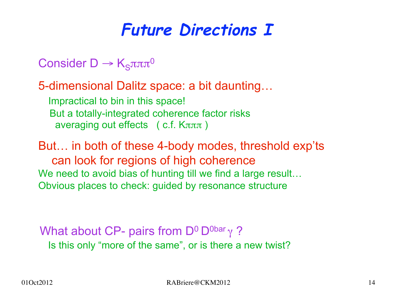### **Future Directions I**

- Consider D  $\rightarrow$  K<sub>S</sub> $\pi\pi\pi$ <sup>0</sup>
- 5-dimensional Dalitz space: a bit daunting…
	- Impractical to bin in this space! But a totally-integrated coherence factor risks averaging out effects ( c.f.  $K\pi\pi\pi$  )
- But… in both of these 4-body modes, threshold exp'ts can look for regions of high coherence We need to avoid bias of hunting till we find a large result... Obvious places to check: guided by resonance structure

#### What about CP- pairs from  $D^0 D^{0bar} \gamma$ ? Is this only "more of the same", or is there a new twist?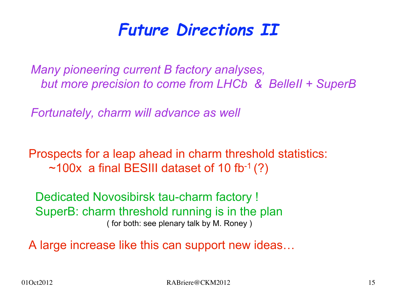### **Future Directions II**

*Many pioneering current B factory analyses, but more precision to come from LHCb & BelleII + SuperB*

*Fortunately, charm will advance as well*

Prospects for a leap ahead in charm threshold statistics:  $\sim$ 100x a final BESIII dataset of 10 fb<sup>-1</sup> (?)

 Dedicated Novosibirsk tau-charm factory ! SuperB: charm threshold running is in the plan ( for both: see plenary talk by M. Roney )

A large increase like this can support new ideas…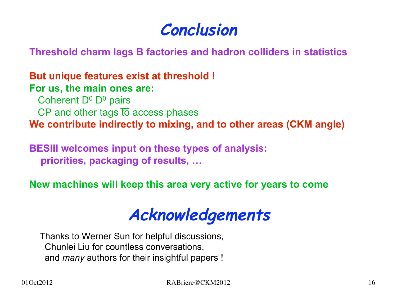### **Conclusion**

**Threshold charm lags B factories and hadron colliders in statistics**

**But unique features exist at threshold ! For us, the main ones are:**

Coherent  $D^0$  D<sup>0</sup> pairs

 $CP$  and other tags  $\overline{to}$  access phases

**We contribute indirectly to mixing, and to other areas (CKM angle)**

**BESIII welcomes input on these types of analysis: priorities, packaging of results, …**

**New machines will keep this area very active for years to come** 

### **Acknowledgements**

Thanks to Werner Sun for helpful discussions, Chunlei Liu for countless conversations, and *many* authors for their insightful papers !